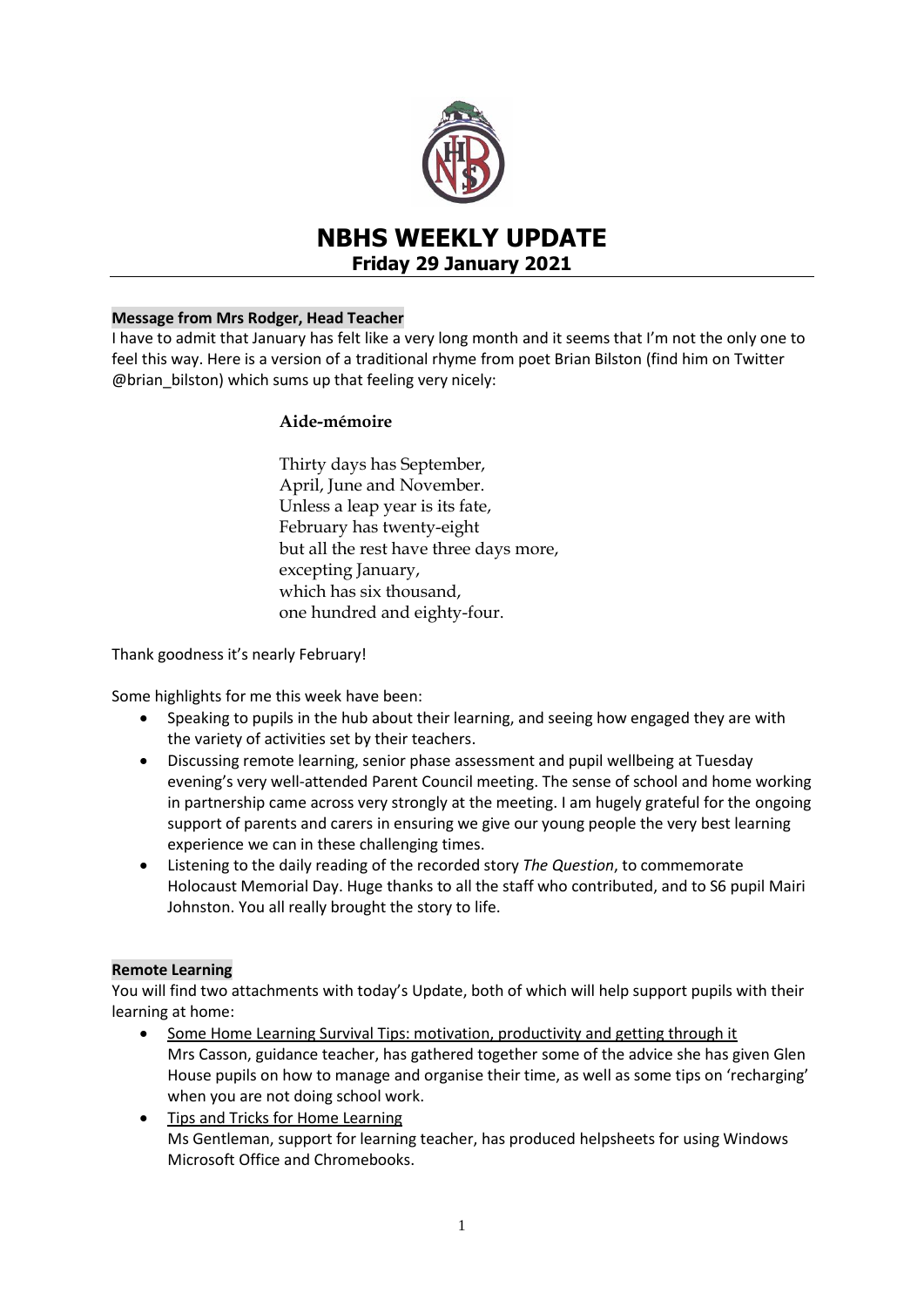

# **NBHS WEEKLY UPDATE Friday 29 January 2021**

# **Message from Mrs Rodger, Head Teacher**

I have to admit that January has felt like a very long month and it seems that I'm not the only one to feel this way. Here is a version of a traditional rhyme from poet Brian Bilston (find him on Twitter @brian\_bilston) which sums up that feeling very nicely:

# **Aide-mémoire**

Thirty days has September, April, June and November. Unless a leap year is its fate, February has twenty-eight but all the rest have three days more, excepting January, which has six thousand, one hundred and eighty-four.

Thank goodness it's nearly February!

Some highlights for me this week have been:

- Speaking to pupils in the hub about their learning, and seeing how engaged they are with the variety of activities set by their teachers.
- Discussing remote learning, senior phase assessment and pupil wellbeing at Tuesday evening's very well-attended Parent Council meeting. The sense of school and home working in partnership came across very strongly at the meeting. I am hugely grateful for the ongoing support of parents and carers in ensuring we give our young people the very best learning experience we can in these challenging times.
- Listening to the daily reading of the recorded story *The Question*, to commemorate Holocaust Memorial Day. Huge thanks to all the staff who contributed, and to S6 pupil Mairi Johnston. You all really brought the story to life.

# **Remote Learning**

You will find two attachments with today's Update, both of which will help support pupils with their learning at home:

- Some Home Learning Survival Tips: motivation, productivity and getting through it Mrs Casson, guidance teacher, has gathered together some of the advice she has given Glen House pupils on how to manage and organise their time, as well as some tips on 'recharging' when you are not doing school work.
- Tips and Tricks for Home Learning Ms Gentleman, support for learning teacher, has produced helpsheets for using Windows Microsoft Office and Chromebooks.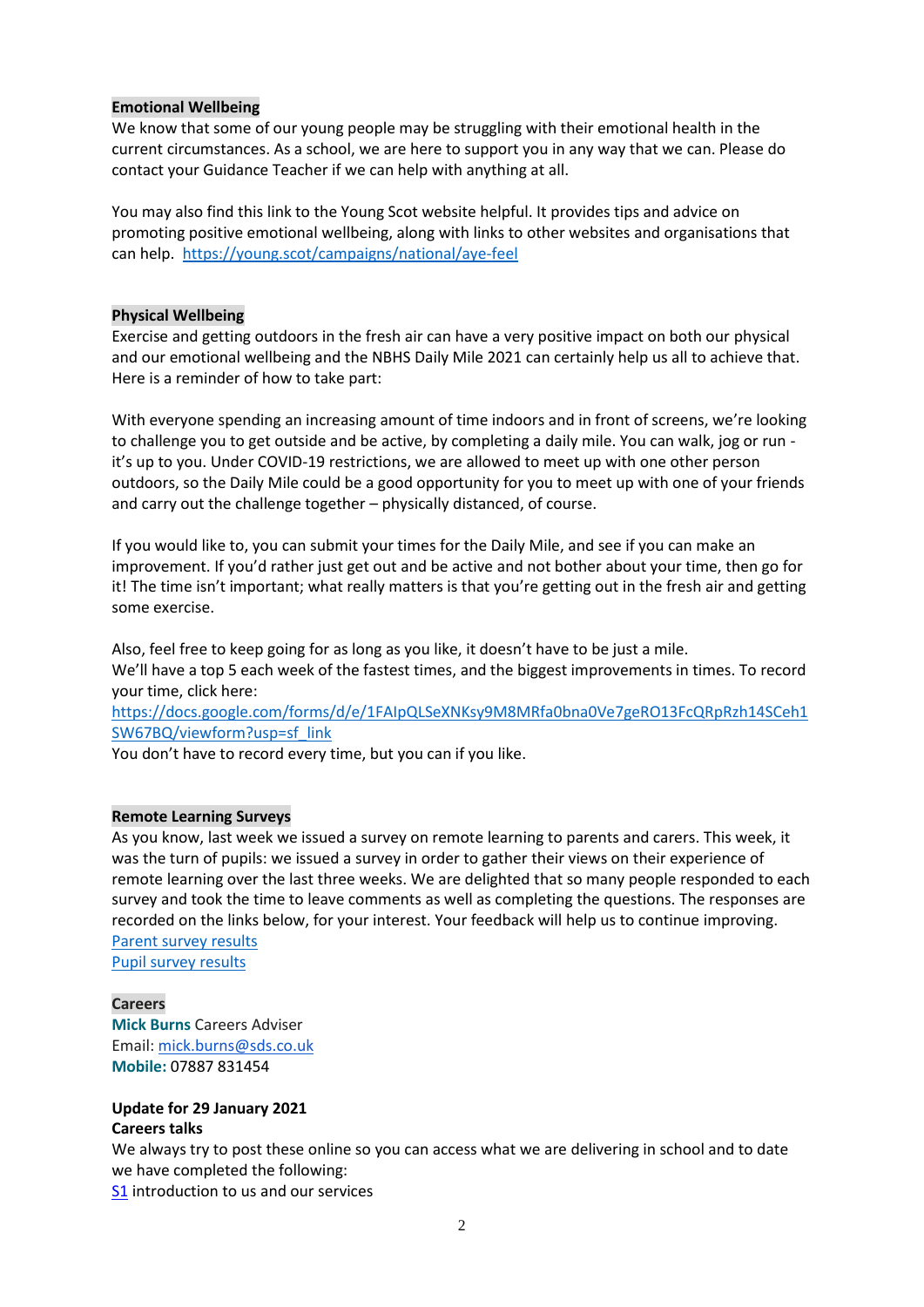## **Emotional Wellbeing**

We know that some of our young people may be struggling with their emotional health in the current circumstances. As a school, we are here to support you in any way that we can. Please do contact your Guidance Teacher if we can help with anything at all.

You may also find this link to the Young Scot website helpful. It provides tips and advice on promoting positive emotional wellbeing, along with links to other websites and organisations that can help.<https://young.scot/campaigns/national/aye-feel>

#### **Physical Wellbeing**

Exercise and getting outdoors in the fresh air can have a very positive impact on both our physical and our emotional wellbeing and the NBHS Daily Mile 2021 can certainly help us all to achieve that. Here is a reminder of how to take part:

With everyone spending an increasing amount of time indoors and in front of screens, we're looking to challenge you to get outside and be active, by completing a daily mile. You can walk, jog or run it's up to you. Under COVID-19 restrictions, we are allowed to meet up with one other person outdoors, so the Daily Mile could be a good opportunity for you to meet up with one of your friends and carry out the challenge together – physically distanced, of course.

If you would like to, you can submit your times for the Daily Mile, and see if you can make an improvement. If you'd rather just get out and be active and not bother about your time, then go for it! The time isn't important; what really matters is that you're getting out in the fresh air and getting some exercise.

Also, feel free to keep going for as long as you like, it doesn't have to be just a mile. We'll have a top 5 each week of the fastest times, and the biggest improvements in times. To record your time, click here:

[https://docs.google.com/forms/d/e/1FAIpQLSeXNKsy9M8MRfa0bna0Ve7geRO13FcQRpRzh14SCeh1](https://docs.google.com/forms/d/e/1FAIpQLSeXNKsy9M8MRfa0bna0Ve7geRO13FcQRpRzh14SCeh1SW67BQ/viewform?usp=sf_link) [SW67BQ/viewform?usp=sf\\_link](https://docs.google.com/forms/d/e/1FAIpQLSeXNKsy9M8MRfa0bna0Ve7geRO13FcQRpRzh14SCeh1SW67BQ/viewform?usp=sf_link)

You don't have to record every time, but you can if you like.

## **Remote Learning Surveys**

As you know, last week we issued a survey on remote learning to parents and carers. This week, it was the turn of pupils: we issued a survey in order to gather their views on their experience of remote learning over the last three weeks. We are delighted that so many people responded to each survey and took the time to leave comments as well as completing the questions. The responses are recorded on the links below, for your interest. Your feedback will help us to continue improving. [Parent survey results](https://www.edubuzz.org/northberwickhigh/files/2021/01/PCM-NBHS-Remote-Learning-Parent-Survey-January-2021-2.pdf)

[Pupil survey results](https://www.edubuzz.org/northberwickhigh/wp-content/blogs.dir/894/files/2021/01/Pupil-feedback_RemoteLearningJanuary.pdf)

#### **Careers**

**Mick Burns** Careers Adviser Email: [mick.burns@sds.co.uk](https://mail.elcschool.org.uk/owa/redir.aspx?C=fbGa3DGVrsUoQB2CnJP23eXwMGzxu7J1CtarT6dTOwkq_NlpJujXCA..&URL=mailto%3amick.burns%40sds.co.uk) **Mobile:** 07887 831454

### **Update for 29 January 2021 Careers talks**

We always try to post these online so you can access what we are delivering in school and to date we have completed the following:

**[S1](https://www.edubuzz.org/careers/2020/08/17/s1-2020/)** introduction to us and our services